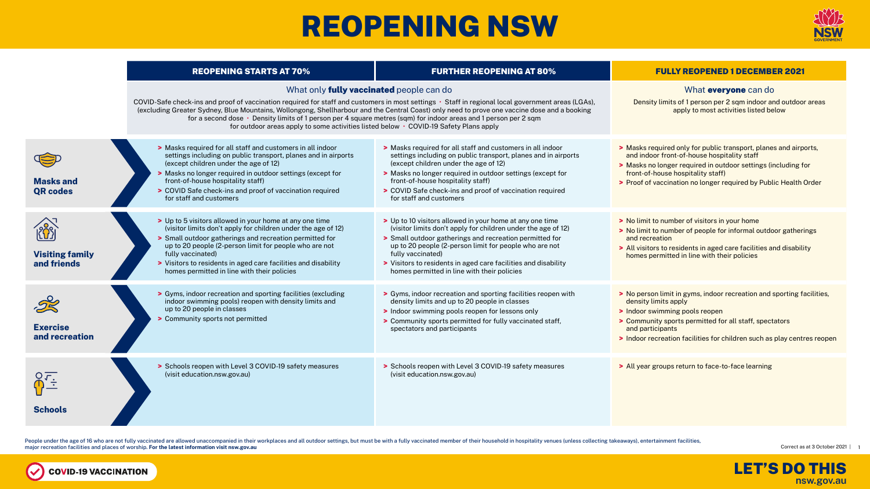# REOPENING NSW





People under the age of 16 who are not fully vaccinated are allowed unaccompanied in their workplaces and all outdoor settings, but must be with a fully vaccinated member of their household in hospitality venues (unless co major recreation facilities and places of worship. **For the latest information visit nsw.gov.au**

COVID-19 VACCINATION



|                                       | <b>REOPENING STARTS AT 70%</b>                                                                                                                                                                                                                                                                                                                                                                                                                                                                                                                                     | <b>FURTHER REOPENING AT 80%</b>                                                                                                                                                                                                                                                                                                                                                      | <b>FULLY REOPENED 1 DECEMBER 2021</b>                                                                                                                                                                                                                                                     |
|---------------------------------------|--------------------------------------------------------------------------------------------------------------------------------------------------------------------------------------------------------------------------------------------------------------------------------------------------------------------------------------------------------------------------------------------------------------------------------------------------------------------------------------------------------------------------------------------------------------------|--------------------------------------------------------------------------------------------------------------------------------------------------------------------------------------------------------------------------------------------------------------------------------------------------------------------------------------------------------------------------------------|-------------------------------------------------------------------------------------------------------------------------------------------------------------------------------------------------------------------------------------------------------------------------------------------|
|                                       | What only <b>fully vaccinated</b> people can do<br>COVID-Safe check-ins and proof of vaccination required for staff and customers in most settings • Staff in regional local government areas (LGAs),<br>(excluding Greater Sydney, Blue Mountains, Wollongong, Shellharbour and the Central Coast) only need to prove one vaccine dose and a booking<br>for a second dose • Density limits of 1 person per 4 square metres (sqm) for indoor areas and 1 person per 2 sqm<br>for outdoor areas apply to some activities listed below • COVID-19 Safety Plans apply | What everyone can do<br>Density limits of 1 person per 2 sqm indoor and outdoor areas<br>apply to most activities listed below                                                                                                                                                                                                                                                       |                                                                                                                                                                                                                                                                                           |
| <b>Masks and</b><br><b>QR codes</b>   | > Masks required for all staff and customers in all indoor<br>settings including on public transport, planes and in airports<br>(except children under the age of 12)<br>> Masks no longer required in outdoor settings (except for<br>front-of-house hospitality staff)<br>> COVID Safe check-ins and proof of vaccination required<br>for staff and customers                                                                                                                                                                                                    | > Masks required for all staff and customers in all indoor<br>settings including on public transport, planes and in airports<br>(except children under the age of 12)<br>> Masks no longer required in outdoor settings (except for<br>front-of-house hospitality staff)<br>> COVID Safe check-ins and proof of vaccination required<br>for staff and customers                      | > Masks required only for public transport, planes and airports,<br>and indoor front-of-house hospitality staff<br>> Masks no longer required in outdoor settings (including for<br>front-of-house hospitality staff)<br>> Proof of vaccination no longer required by Public Health Order |
| <b>Visiting family</b><br>and friends | > Up to 5 visitors allowed in your home at any one time<br>(visitor limits don't apply for children under the age of 12)<br>> Small outdoor gatherings and recreation permitted for<br>up to 20 people (2-person limit for people who are not<br>fully vaccinated)<br>> Visitors to residents in aged care facilities and disability<br>homes permitted in line with their policies                                                                                                                                                                                | > Up to 10 visitors allowed in your home at any one time<br>(visitor limits don't apply for children under the age of 12)<br>> Small outdoor gatherings and recreation permitted for<br>up to 20 people (2-person limit for people who are not<br>fully vaccinated)<br>> Visitors to residents in aged care facilities and disability<br>homes permitted in line with their policies | > No limit to number of visitors in your home<br>> No limit to number of people for informal outdoor gatherings<br>and recreation<br>> All visitors to residents in aged care facilities and disability<br>homes permitted in line with their policies                                    |
| <b>Exercise</b><br>and recreation     | > Gyms, indoor recreation and sporting facilities (excluding<br>indoor swimming pools) reopen with density limits and<br>up to 20 people in classes<br>> Community sports not permitted                                                                                                                                                                                                                                                                                                                                                                            | > Gyms, indoor recreation and sporting facilities reopen with<br>density limits and up to 20 people in classes<br>> Indoor swimming pools reopen for lessons only<br>> Community sports permitted for fully vaccinated staff,<br>spectators and participants                                                                                                                         | > No person limit in gyms, indoor recreation and sporting facilities,<br>density limits apply<br>> Indoor swimming pools reopen<br>> Community sports permitted for all staff, spectators<br>and participants<br>> Indoor recreation facilities for children such as play centres reopen  |
| <b>Schools</b>                        | Schools reopen with Level 3 COVID-19 safety measures<br>(visit education.nsw.gov.au)                                                                                                                                                                                                                                                                                                                                                                                                                                                                               | > Schools reopen with Level 3 COVID-19 safety measures<br>(visit education.nsw.gov.au)                                                                                                                                                                                                                                                                                               | > All year groups return to face-to-face learning                                                                                                                                                                                                                                         |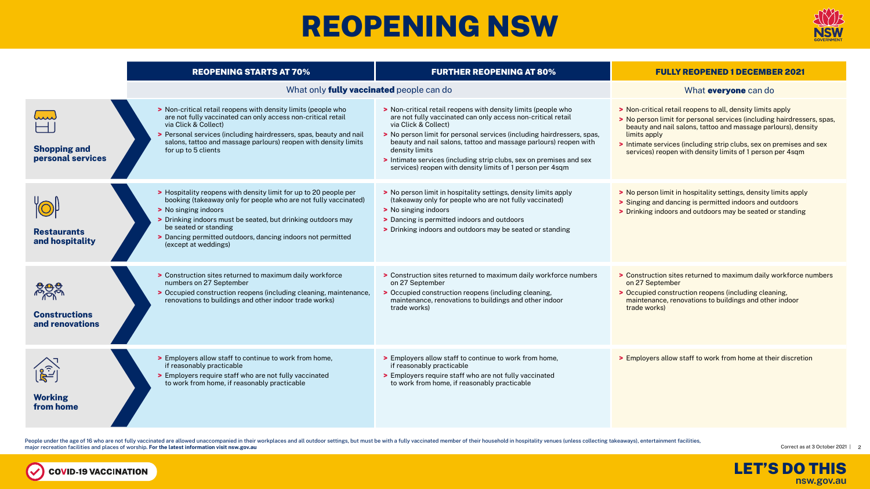## REOPENING NSW

#### REOPENING STARTS AT 70%

#### What only **fully vaccinated** peop







People under the age of 16 who are not fully vaccinated are allowed unaccompanied in their workplaces and all outdoor settings, but must be with a fully vaccinated member of their household in hospitality venues (unless co major recreation facilities and places of worship. **For the latest information visit nsw.gov.au**

**COVID-19 VACCINATION** 

V



| <b>Shopping and</b><br>personal services | > Non-critical retail reopens with density limits (people who<br>are not fully vaccinated can only access non-critical retail<br>via Click & Collect)<br>> Personal services (including hairdressers, spas, beauty and nail<br>salons, tattoo and massage parlours) reopen with density limits<br>for up to 5 clients                       | $>$ Non- $\alpha$<br>are no<br>via Cl<br>$>$ No pe<br>beaut<br>densi<br>$\blacktriangleright$ Intima<br>servio |
|------------------------------------------|---------------------------------------------------------------------------------------------------------------------------------------------------------------------------------------------------------------------------------------------------------------------------------------------------------------------------------------------|----------------------------------------------------------------------------------------------------------------|
| <b>Restaurants</b><br>and hospitality    | > Hospitality reopens with density limit for up to 20 people per<br>booking (takeaway only for people who are not fully vaccinated)<br>> No singing indoors<br>> Drinking indoors must be seated, but drinking outdoors may<br>be seated or standing<br>> Dancing permitted outdoors, dancing indoors not permitted<br>(except at weddings) | $>$ No pe<br>(take<br>> No sir<br>> Danci<br>> Drink                                                           |
| <b>Constructions</b><br>and renovations  | > Construction sites returned to maximum daily workforce<br>numbers on 27 September<br>> Occupied construction reopens (including cleaning, maintenance,<br>renovations to buildings and other indoor trade works)                                                                                                                          | > Const<br>on $27$<br>$\geq$ Occu<br>maint<br>trade                                                            |
| <b>Working</b><br>from home              | > Employers allow staff to continue to work from home,<br>if reasonably practicable<br>> Employers require staff who are not fully vaccinated<br>to work from home, if reasonably practicable                                                                                                                                               | $\sum$ Emple<br>if rea<br>$\blacktriangleright$ Emple<br>to wo                                                 |

| <b>FURTHER REOPENING AT 80%</b>                                                                                                                                                                                                                                                                                                                                                                                                                         | <b>FULLY REOPENED 1 DECEMBER 2021</b>                                                                                                                                                                                                                                                                                                                     |
|---------------------------------------------------------------------------------------------------------------------------------------------------------------------------------------------------------------------------------------------------------------------------------------------------------------------------------------------------------------------------------------------------------------------------------------------------------|-----------------------------------------------------------------------------------------------------------------------------------------------------------------------------------------------------------------------------------------------------------------------------------------------------------------------------------------------------------|
| ed people can do:                                                                                                                                                                                                                                                                                                                                                                                                                                       | What <b>everyone</b> can do                                                                                                                                                                                                                                                                                                                               |
| > Non-critical retail reopens with density limits (people who<br>are not fully vaccinated can only access non-critical retail<br>via Click & Collect)<br>> No person limit for personal services (including hairdressers, spas,<br>beauty and nail salons, tattoo and massage parlours) reopen with<br>density limits<br>Intimate services (including strip clubs, sex on premises and sex<br>services) reopen with density limits of 1 person per 4sqm | > Non-critical retail reopens to all, density limits apply<br>> No person limit for personal services (including hairdressers, spas,<br>beauty and nail salons, tattoo and massage parlours), density<br>limits apply<br>> Intimate services (including strip clubs, sex on premises and sex<br>services) reopen with density limits of 1 person per 4sqm |
| > No person limit in hospitality settings, density limits apply<br>(takeaway only for people who are not fully vaccinated)<br>> No singing indoors<br>> Dancing is permitted indoors and outdoors<br>> Drinking indoors and outdoors may be seated or standing                                                                                                                                                                                          | > No person limit in hospitality settings, density limits apply<br>> Singing and dancing is permitted indoors and outdoors<br>> Drinking indoors and outdoors may be seated or standing                                                                                                                                                                   |
| > Construction sites returned to maximum daily workforce numbers<br>on 27 September<br>> Occupied construction reopens (including cleaning,<br>maintenance, renovations to buildings and other indoor<br>trade works)                                                                                                                                                                                                                                   | > Construction sites returned to maximum daily workforce numbers<br>on 27 September<br>> Occupied construction reopens (including cleaning,<br>maintenance, renovations to buildings and other indoor<br>trade works)                                                                                                                                     |
| > Employers allow staff to continue to work from home,<br>if reasonably practicable<br>> Employers require staff who are not fully vaccinated<br>to work from home, if reasonably practicable                                                                                                                                                                                                                                                           | > Employers allow staff to work from home at their discretion                                                                                                                                                                                                                                                                                             |